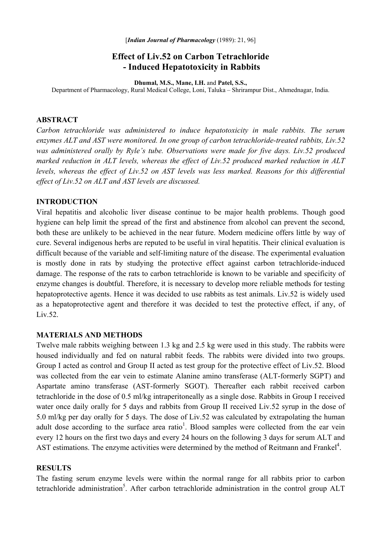# **Effect of Liv.52 on Carbon Tetrachloride - Induced Hepatotoxicity in Rabbits**

**Dhumal, M.S., Mane, I.H.** and **Patel, S.S.,** 

Department of Pharmacology, Rural Medical College, Loni, Taluka – Shrirampur Dist., Ahmednagar, India.

#### **ABSTRACT**

*Carbon tetrachloride was administered to induce hepatotoxicity in male rabbits. The serum enzymes ALT and AST were monitored. In one group of carbon tetrachloride-treated rabbits, Liv.52 was administered orally by Ryle's tube. Observations were made for five days. Liv.52 produced marked reduction in ALT levels, whereas the effect of Liv.52 produced marked reduction in ALT levels, whereas the effect of Liv.52 on AST levels was less marked. Reasons for this differential effect of Liv.52 on ALT and AST levels are discussed.* 

#### **INTRODUCTION**

Viral hepatitis and alcoholic liver disease continue to be major health problems. Though good hygiene can help limit the spread of the first and abstinence from alcohol can prevent the second, both these are unlikely to be achieved in the near future. Modern medicine offers little by way of cure. Several indigenous herbs are reputed to be useful in viral hepatitis. Their clinical evaluation is difficult because of the variable and self-limiting nature of the disease. The experimental evaluation is mostly done in rats by studying the protective effect against carbon tetrachloride-induced damage. The response of the rats to carbon tetrachloride is known to be variable and specificity of enzyme changes is doubtful. Therefore, it is necessary to develop more reliable methods for testing hepatoprotective agents. Hence it was decided to use rabbits as test animals. Liv.52 is widely used as a hepatoprotective agent and therefore it was decided to test the protective effect, if any, of Liv.52.

## **MATERIALS AND METHODS**

Twelve male rabbits weighing between 1.3 kg and 2.5 kg were used in this study. The rabbits were housed individually and fed on natural rabbit feeds. The rabbits were divided into two groups. Group I acted as control and Group II acted as test group for the protective effect of Liv.52. Blood was collected from the ear vein to estimate Alanine amino transferase (ALT-formerly SGPT) and Aspartate amino transferase (AST-formerly SGOT). Thereafter each rabbit received carbon tetrachloride in the dose of 0.5 ml/kg intraperitoneally as a single dose. Rabbits in Group I received water once daily orally for 5 days and rabbits from Group II received Liv.52 syrup in the dose of 5.0 ml/kg per day orally for 5 days. The dose of Liv.52 was calculated by extrapolating the human adult dose according to the surface area ratio<sup>1</sup>. Blood samples were collected from the ear vein every 12 hours on the first two days and every 24 hours on the following 3 days for serum ALT and AST estimations. The enzyme activities were determined by the method of Reitmann and Frankel<sup>4</sup>.

### **RESULTS**

The fasting serum enzyme levels were within the normal range for all rabbits prior to carbon tetrachloride administration<sup>5</sup>. After carbon tetrachloride administration in the control group ALT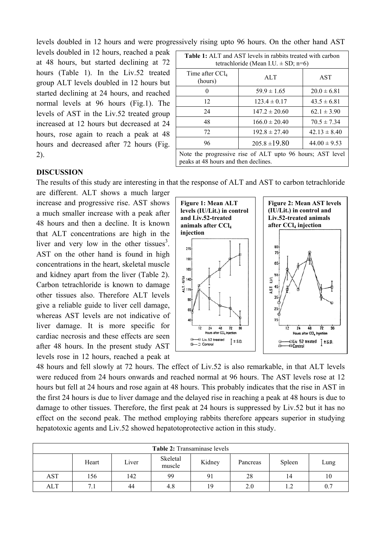levels doubled in 12 hours and were progressively rising upto 96 hours. On the other hand AST

levels doubled in 12 hours, reached a peak at 48 hours, but started declining at 72 hours (Table 1). In the Liv.52 treated group ALT levels doubled in 12 hours but started declining at 24 hours, and reached normal levels at 96 hours (Fig.1). The levels of AST in the Liv.52 treated group increased at 12 hours but decreased at 24 hours, rose again to reach a peak at 48 hours and decreased after 72 hours (Fig. 2).

| <b>Table 1:</b> ALT and AST levels in rabbits treated with carbon<br>tetrachloride (Mean I.U. $\pm$ SD; n=6) |                   |                  |  |  |  |  |
|--------------------------------------------------------------------------------------------------------------|-------------------|------------------|--|--|--|--|
| Time after $CCl_4$<br>(hours)                                                                                | AI.T              | <b>AST</b>       |  |  |  |  |
| 0                                                                                                            | $59.9 \pm 1.65$   | $20.0 \pm 6.81$  |  |  |  |  |
| 12                                                                                                           | $123.4 \pm 0.17$  | $43.5 \pm 6.81$  |  |  |  |  |
| 24                                                                                                           | $147.2 \pm 20.60$ | $62.1 \pm 3.90$  |  |  |  |  |
| 48                                                                                                           | $166.0 \pm 20.40$ | $70.5 \pm 7.34$  |  |  |  |  |
| 72                                                                                                           | $192.8 \pm 27.40$ | $42.13 \pm 8.40$ |  |  |  |  |
| 96                                                                                                           | $205.8 \pm 19.80$ | $44.00 \pm 9.53$ |  |  |  |  |
| Note the progressive rise of ALT upto 96 hours; AST level<br>peaks at 48 hours and then declines.            |                   |                  |  |  |  |  |

## **DISCUSSION**

The results of this study are interesting in that the response of ALT and AST to carbon tetrachloride

are different. ALT shows a much larger increase and progressive rise. AST shows a much smaller increase with a peak after 48 hours and then a decline. It is known that ALT concentrations are high in the liver and very low in the other tissues<sup>3</sup>. AST on the other hand is found in high concentrations in the heart, skeletal muscle and kidney apart from the liver (Table 2). Carbon tetrachloride is known to damage other tissues also. Therefore ALT levels give a reliable guide to liver cell damage, whereas AST levels are not indicative of liver damage. It is more specific for cardiac necrosis and these effects are seen after 48 hours. In the present study AST levels rose in 12 hours, reached a peak at



48 hours and fell slowly at 72 hours. The effect of Liv.52 is also remarkable, in that ALT levels were reduced from 24 hours onwards and reached normal at 96 hours. The AST levels rose at 12 hours but fell at 24 hours and rose again at 48 hours. This probably indicates that the rise in AST in the first 24 hours is due to liver damage and the delayed rise in reaching a peak at 48 hours is due to damage to other tissues. Therefore, the first peak at 24 hours is suppressed by Liv.52 but it has no effect on the second peak. The method employing rabbits therefore appears superior in studying hepatotoxic agents and Liv.52 showed hepatotoprotective action in this study.

| <b>Table 2:</b> Transaminase levels |       |       |                    |        |          |        |      |  |
|-------------------------------------|-------|-------|--------------------|--------|----------|--------|------|--|
|                                     | Heart | Liver | Skeletal<br>muscle | Kidney | Pancreas | Spleen | Lung |  |
| <b>AST</b>                          | 156   | 142   | 99                 | 91     | 28       | 14     | 10   |  |
| <b>ALT</b>                          | 7.1   | 44    | 4.8                | 19     | 2.0      |        | 0.7  |  |